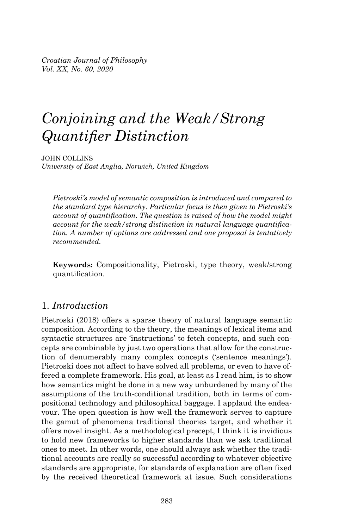*Croatian Journal of Philosophy Vol. XX, No. 60, 2020* 

# *Conjoining and the Weak/Strong Quantifier Distinction*

JOHN COLLINS *University of East Anglia, Norwich, United Kingdom*

*Pietroski's model of semantic composition is introduced and compared to the standard type hierarchy. Particular focus is then given to Pietroski's account of quantifi cation. The question is raised of how the model might account for the weak/strong distinction in natural language quantification. A number of options are addressed and one proposal is tentatively recommended.*

**Keywords:** Compositionality, Pietroski, type theory, weak/strong quantification.

## 1. *Introduction*

Pietroski (2018) offers a sparse theory of natural language semantic composition. According to the theory, the meanings of lexical items and syntactic structures are 'instructions' to fetch concepts, and such concepts are combinable by just two operations that allow for the construction of denumerably many complex concepts ('sentence meanings'). Pietroski does not affect to have solved all problems, or even to have offered a complete framework. His goal, at least as I read him, is to show how semantics might be done in a new way unburdened by many of the assumptions of the truth-conditional tradition, both in terms of compositional technology and philosophical baggage. I applaud the endeavour. The open question is how well the framework serves to capture the gamut of phenomena traditional theories target, and whether it offers novel insight. As a methodological precept, I think it is invidious to hold new frameworks to higher standards than we ask traditional ones to meet. In other words, one should always ask whether the traditional accounts are really so successful according to whatever objective standards are appropriate, for standards of explanation are often fixed by the received theoretical framework at issue. Such considerations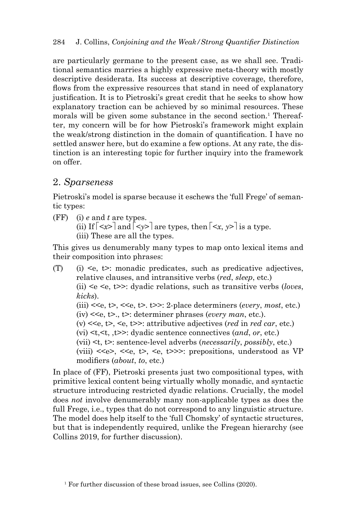are particularly germane to the present case, as we shall see. Traditional semantics marries a highly expressive meta-theory with mostly descriptive desiderata. Its success at descriptive coverage, therefore, flows from the expressive resources that stand in need of explanatory justification. It is to Pietroski's great credit that he seeks to show how explanatory traction can be achieved by so minimal resources. These morals will be given some substance in the second section.<sup>1</sup> Thereafter, my concern will be for how Pietroski's framework might explain the weak/strong distinction in the domain of quantification. I have no settled answer here, but do examine a few options. At any rate, the distinction is an interesting topic for further inquiry into the framework on offer.

## 2. *Sparseness*

Pietroski's model is sparse because it eschews the 'full Frege' of semantic types:

(FF) (i) *e* and *t* are types.

(ii) If  $\lceil \langle x \rangle \rceil$  and  $\lceil \langle y \rangle \rceil$  are types, then  $\lceil \langle x, y \rangle \rceil$  is a type.

(iii) These are all the types.

This gives us denumerably many types to map onto lexical items and their composition into phrases:

(T) (i)  $\leq e$ ,  $t$  >: monadic predicates, such as predicative adjectives, relative clauses, and intransitive verbs (*red*, *sleep*, etc.) (ii) <e <e, t>>: dyadic relations, such as transitive verbs (*loves*, *kicks*). (iii)  $<,  $t><sub>0</sub>, <sub>0</sub>, t><sub>0</sub>, t><sub>0</sub>, t><sub>0</sub>, t<sub>0</sub>, t<sub>0</sub>, t<sub>0</sub>, t<sub>0</sub>, t<sub>0</sub>, t<sub>0</sub>, t<sub>0</sub>, t<sub>0</sub>, t<sub>0</sub>, t<sub>0</sub>, t<sub>0</sub>, t<sub>0</sub>, t<sub>0</sub>, t<sub>0</sub>, t<sub>0</sub>, t<sub>0</sub>, t<sub>0</sub>, t<sub>0</sub>, t<sub>0</sub>, t<sub>0</sub>, t<sub>0</sub>$$  (iv) <<e, t>., t>: determiner phrases (*every man*, etc.). (v) <<e, t>, <e, t>>: attributive adjectives (*red* in *red car*, etc.) (vi) <t,<t, ,t>>: dyadic sentence connectives (*and*, *or*, etc.) (vii) <t, t>: sentence-level adverbs (*necessarily*, *possibly*, etc.) (viii)  $\langle \text{vii} \rangle$   $\langle \text{viii} \rangle$   $\langle \text{viv} \rangle$   $\langle \text{viv} \rangle$   $\langle \text{viv} \rangle$  +  $\langle \text{viv} \rangle$  +  $\langle \text{viv} \rangle$  +  $\langle \text{viv} \rangle$  +  $\langle \text{viv} \rangle$  +  $\langle \text{viv} \rangle$  +  $\langle \text{viv} \rangle$  +  $\langle \text{viv} \rangle$  +  $\langle \text{viv} \rangle$  +  $\langle \text{viv} \rangle$  +  $\langle \text{viv} \rangle$ modifiers (*about*, *to*, etc.)

In place of (FF), Pietroski presents just two compositional types, with primitive lexical content being virtually wholly monadic, and syntactic structure introducing restricted dyadic relations. Crucially, the model does *not* involve denumerably many non-applicable types as does the full Frege, i.e., types that do not correspond to any linguistic structure. The model does help itself to the 'full Chomsky' of syntactic structures, but that is independently required, unlike the Fregean hierarchy (see Collins 2019, for further discussion).

<sup>&</sup>lt;sup>1</sup> For further discussion of these broad issues, see Collins (2020).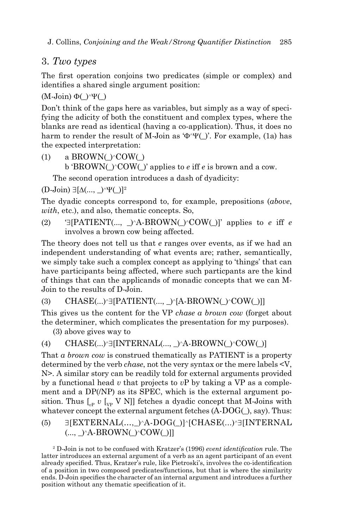## 3. *Two types*

The first operation conjoins two predicates (simple or complex) and identifies a shared single argument position:

 $(M\text{-Join}) \Phi()^{\wedge}\Psi()$ 

Don't think of the gaps here as variables, but simply as a way of specifying the adicity of both the constituent and complex types, where the blanks are read as identical (having a co-application). Thus, it does no harm to render the result of M-Join as ' $\Phi$ ' $\Psi$ ()'. For example, (1a) has the expected interpretation:

(1) a BROWN( $\angle$ COW( $\angle$ ) b 'BROWN()<sup> $\sim$ </sup>COW()' applies to *e* iff *e* is brown and a cow.

The second operation introduces a dash of dyadicity:

 $(D\text{-Join}) \exists [\Delta(\ldots, \_)^{\wedge}\Psi\Box]^2$ 

The dyadic concepts correspond to, for example, prepositions (*above*, *with*, etc.), and also, thematic concepts. So,

(2)  $\exists$  [PATIENT(...,  $\land$ A-BROWN( $\land$ COW()]' applies to *e* iff *e* involves a brown cow being affected.

The theory does not tell us that *e* ranges over events, as if we had an independent understanding of what events are; rather, semantically, we simply take such a complex concept as applying to 'things' that can have participants being affected, where such particpants are the kind of things that can the applicands of monadic concepts that we can M-Join to the results of D-Join.

(3) CHASE $(...)$ <sup>-</sup>][PATIENT $(..., \_)$ <sup>-</sup>[A-BROWN $\bigcirc$ <sup>-</sup>COW $\bigcirc$ ]]]

This gives us the content for the VP *chase a brown cow* (forget about the determiner, which complicates the presentation for my purposes).

(3) above gives way to

```
(4) CHASE(...)<sup>[INTERNAL(...)}A-BROWN()<sup>COW()]</sup></sup>
```
That *a brown cow* is construed thematically as PATIENT is a property determined by the verb *chase*, not the very syntax or the mere labels <V, N>. A similar story can be readily told for external arguments provided by a functional head *v* that projects to *v*P by taking a VP as a complement and a DP(/NP) as its SPEC, which is the external argument position. Thus  $\left[\begin{smallmatrix} v & v \end{smallmatrix}\right]$  *v* [ $\mathbf{v}$  *v* N]] fetches a dyadic concept that M-Joins with whatever concept the external argument fetches  $(A-DOG($ ), say). Thus:

 $(5)$   $\exists$ [EXTERNAL(...,  $\triangle A-DOG($ )] $\triangle$ [CHASE(...) $\triangle J$ [INTERNAL]  $(..., )^A$ -BROWN( $)$ <sup>^</sup>COW()]]

<sup>2</sup> D-Join is not to be confused with Kratzer's (1996) *event identification* rule. The latter introduces an external argument of a verb as an agent participant of an event already specified. Thus, Kratzer's rule, like Pietroski's, involves the co-identification of a position in two composed predicates/functions, but that is where the similarity ends. D-Join specifies the character of an internal argument and introduces a further position without any thematic specification of it.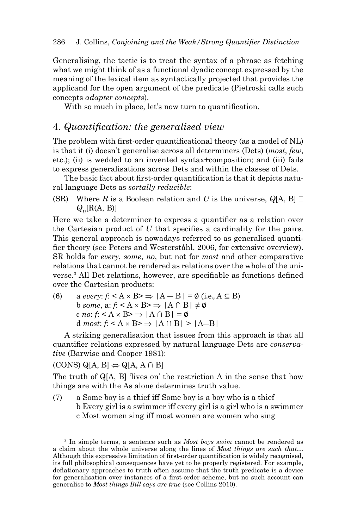Generalising, the tactic is to treat the syntax of a phrase as fetching what we might think of as a functional dyadic concept expressed by the meaning of the lexical item as syntactically projected that provides the applicand for the open argument of the predicate (Pietroski calls such concepts *adapter concepts*).

With so much in place, let's now turn to quantification.

## 4. *Quantification: the generalised view*

The problem with first-order quantificational theory (as a model of NL) is that it (i) doesn't generalise across all determiners (Dets) (*most*, *few*, etc.); (ii) is wedded to an invented syntax+composition; and (iii) fails to express generalisations across Dets and within the classes of Dets.

The basic fact about first-order quantification is that it depicts natural language Dets as *sortally reducible*:

(SR) Where *R* is a Boolean relation and *U* is the universe,  $Q[A, B]$  $Q_{\nu}[\text{R(A, B)}]$ 

Here we take a determiner to express a quantifier as a relation over the Cartesian product of  $U$  that specifies a cardinality for the pairs. This general approach is nowadays referred to as generalised quantifier theory (see Peters and Westerståhl, 2006, for extensive overview). SR holds for *every*, *some*, *no*, but not for *most* and other comparative relations that cannot be rendered as relations over the whole of the universe.<sup>3</sup> All Det relations, however, are specifiable as functions defined over the Cartesian products:

(6) a *every*:  $f: < A \times B \implies |A - B| = \emptyset$  (i.e.,  $A \subseteq B$ )  $b \text{ some, a: } f: \leq A \times B \geq \Rightarrow |A \cap B| \neq \emptyset$ c *no*:  $f: < A \times B$   $\Rightarrow |A \cap B| = \emptyset$ d *most*:  $f: < A \times B \implies |A \cap B| > |A-B|$ 

A striking generalisation that issues from this approach is that all quantifier relations expressed by natural language Dets are *conservative* (Barwise and Cooper 1981):

 $(CONS) Q[A, B] \Leftrightarrow Q[A, A \cap B]$ 

The truth of Q[A, B] 'lives on' the restriction A in the sense that how things are with the As alone determines truth value.

(7) a Some boy is a thief iff Some boy is a boy who is a thief b Every girl is a swimmer iff every girl is a girl who is a swimmer c Most women sing iff most women are women who sing

3 In simple terms, a sentence such as *Most boys swim* cannot be rendered as a claim about the whole universe along the lines of *Most things are such that*… Although this expressive limitation of first-order quantification is widely recognised, its full philosophical consequences have yet to be properly registered. For example, deflationary approaches to truth often assume that the truth predicate is a device for generalisation over instances of a first-order scheme, but no such account can generalise to *Most things Bill says are true* (see Collins 2010).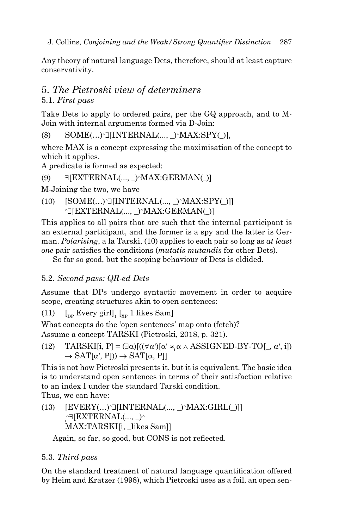Any theory of natural language Dets, therefore, should at least capture conservativity.

## 5. *The Pietroski view of determiners* 5.1. *First pass*

Take Dets to apply to ordered pairs, per the GQ approach, and to M-Join with internal arguments formed via D-Join:

 $(8)$  SOME $(...)$ <sup>-</sup> INTERNAL $(..., )$ <sup>-</sup> MAX:SPY $($ )],

where MAX is a concept expressing the maximisation of the concept to which it applies.

A predicate is formed as expected:

(9)  $\exists$ [EXTERNAL(...,  $\land$ MAX:GERMAN(\_)]

M-Joining the two, we have

 $(10)$   $[SOME(...)^{\exists}$ [INTERNAL(...,  $)$ <sup>^</sup>MAX:SPY()]]  $\exists$ [EXTERNAL(..., )^MAX:GERMAN()]

This applies to all pairs that are such that the internal participant is an external participant, and the former is a spy and the latter is German. *Polarising*, a la Tarski, (10) applies to each pair so long as *at least one* pair satisfies the conditions *(mutatis mutandis* for other Dets).

So far so good, but the scoping behaviour of Dets is eldided.

# 5.2. *Second pass: QR-ed Dets*

Assume that DPs undergo syntactic movement in order to acquire scope, creating structures akin to open sentences:

(11)  $\left[\begin{matrix} 0 & \text{[b]} \\ \text{[b]} & \text{[b]} \end{matrix}\right]_{1} \left[\begin{matrix} 0 & \text{[c] } \\ \text{[d]} & \text{[e]} \end{matrix}\right]$ 

What concepts do the 'open sentences' map onto (fetch)? Assume a concept TARSKI (Pietroski, 2018, p. 321).

(12) TARSKI[i, P] =  $(\exists \alpha)[((\forall \alpha')[\alpha' \approx \alpha \land ASSIGNED-BY-TO[\_, \alpha', i])$  $\rightarrow$  SAT[ $\alpha'$ , P]))  $\rightarrow$  SAT[ $\alpha$ , P]]

This is not how Pietroski presents it, but it is equivalent. The basic idea is to understand open sentences in terms of their satisfaction relative to an index I under the standard Tarski condition. Thus, we can have:

 $(13)$  [EVERY(...)^3[INTERNAL(..., \_)^MAX:GIRL(\_)]]  $\Gamma_{\rm i}$ ^∃[EXTERNAL(..., \_)^ MAX:TARSKI[i, likes Sam]]

Again, so far, so good, but CONS is not reflected.

# 5.3. *Third pass*

On the standard treatment of natural language quantification offered by Heim and Kratzer (1998), which Pietroski uses as a foil, an open sen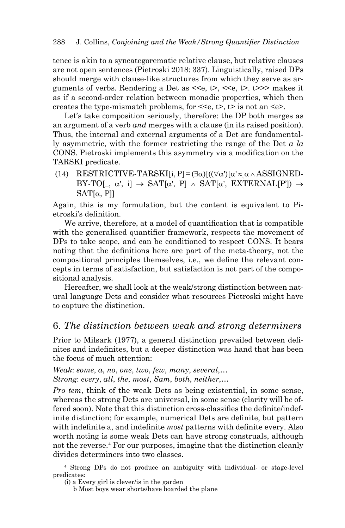tence is akin to a syncategorematic relative clause, but relative clauses are not open sentences (Pietroski 2018: 337). Linguistically, raised DPs should merge with clause-like structures from which they serve as arguments of verbs. Rendering a Det as  $\leq e$ ,  $\leq$ ,  $\leq$ ,  $\leq$ ,  $\leq$ ,  $\leq$  >> makes it as if a second-order relation between monadic properties, which then creates the type-mismatch problems, for  $\leq \epsilon$ ,  $\Rightarrow$  t  $\geq$  is not an  $\leq \epsilon$ .

Let's take composition seriously, therefore: the DP both merges as an argument of a verb *and* merges with a clause (in its raised position). Thus, the internal and external arguments of a Det are fundamentally asymmetric, with the former restricting the range of the Det *a la* CONS. Pietroski implements this asymmetry via a modification on the TARSKI predicate.

(14) RESTRICTIVE-TARSKI[i, P $=(\exists \alpha)[((\forall \alpha')[\alpha'\approx \alpha \land ASSIGNED-$ BY-TO[,  $\alpha'$ , i]  $\rightarrow$  SAT[ $\alpha'$ , P]  $\land$  SAT[ $\alpha'$ , EXTERNAL[P'])  $\rightarrow$  $SAT[\alpha, Pl]$ 

Again, this is my formulation, but the content is equivalent to Pietroski's definition.

We arrive, therefore, at a model of quantification that is compatible with the generalised quantifier framework, respects the movement of DPs to take scope, and can be conditioned to respect CONS. It bears noting that the definitions here are part of the meta-theory, not the compositional principles themselves, i.e., we define the relevant concepts in terms of satisfaction, but satisfaction is not part of the compositional analysis.

Hereafter, we shall look at the weak/strong distinction between natural language Dets and consider what resources Pietroski might have to capture the distinction.

#### 6. *The distinction between weak and strong determiners*

Prior to Milsark (1977), a general distinction prevailed between definites and indefinites, but a deeper distinction was hand that has been the focus of much attention:

*Weak*: *some*, *a*, *no*, *one*, *two*, *few*, *many*, *several*,… *Strong*: *every*, *all*, *the*, *most*, *Sam*, *both*, *neither*,…

*Pro tem*, think of the weak Dets as being existential, in some sense, whereas the strong Dets are universal, in some sense (clarity will be offered soon). Note that this distinction cross-classifies the definite/indefinite distinction; for example, numerical Dets are definite, but pattern with indefinite a, and indefinite *most* patterns with definite every. Also worth noting is some weak Dets can have strong construals, although not the reverse.4 For our purposes, imagine that the distinction cleanly divides determiners into two classes.

4 Strong DPs do not produce an ambiguity with individual- or stage-level predicates:

b Most boys wear shorts/have boarded the plane

<sup>(</sup>i) a Every girl is clever/is in the garden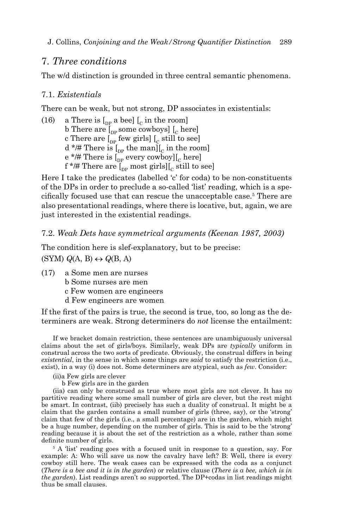## 7. *Three conditions*

The w/d distinction is grounded in three central semantic phenomena.

### 7.1. *Existentials*

There can be weak, but not strong, DP associates in existentials:

(16) a There is  $\begin{bmatrix} 0 & b \end{bmatrix}$  a bee]  $\begin{bmatrix} 0 & c \end{bmatrix}$  in the room] b There are  $\int_{\text{DP}}$  some cowboys]  $\int_{\text{C}}$  here] c There are  $\left[\begin{smallmatrix}p_{\text{p}}&p_{\text{f}}&q_{\text{p}}&q_{\text{p}}&q_{\text{p}}&q_{\text{p}}&q_{\text{p}}&q_{\text{p}}&q_{\text{p}}&q_{\text{p}}&q_{\text{p}}&q_{\text{p}}&q_{\text{p}}&q_{\text{p}}&q_{\text{p}}&q_{\text{p}}&q_{\text{p}}&q_{\text{p}}&q_{\text{p}}&q_{\text{p}}&q_{\text{p}}&q_{\text{p}}&q_{\text{p}}&q_{\text{p}}&q_{\text{p}}&$  $d^*$  There is  $\left[\begin{smallmatrix} 1 \\ n_P \end{smallmatrix}\right]$  the man $\left[\begin{smallmatrix} 0 \\ C \end{smallmatrix}\right]$  in the room] e \*/# There is  $\int_{\text{DP}}$  every cowboy] $\int_{\text{C}}$  here] f \*/# There are  $\left[\begin{smallmatrix} 0 \\ p_P \end{smallmatrix}\right]$  most girls  $\left[\begin{smallmatrix} 0 \\ c \end{smallmatrix}\right]$  still to see

Here I take the predicates (labelled 'c' for coda) to be non-constituents of the DPs in order to preclude a so-called 'list' reading, which is a specifically focused use that can rescue the unacceptable case.<sup>5</sup> There are also presentational readings, where there is locative, but, again, we are just interested in the existential readings.

#### 7.2. *Weak Dets have symmetrical arguments (Keenan 1987, 2003)*

The condition here is slef-explanatory, but to be precise:  $\Gamma(SYM)$   $Q(A, B) \leftrightarrow Q(B, A)$ 

- (17) a Some men are nurses b Some nurses are men
	- c Few women are engineers
	- d Few engineers are women

If the first of the pairs is true, the second is true, too, so long as the determiners are weak. Strong determiners do *not* license the entailment:

If we bracket domain restriction, these sentences are unambiguously universal claims about the set of girls/boys. Similarly, weak DPs are *typically* uniform in construal across the two sorts of predicate. Obviously, the construal differs in being *existential*, in the sense in which some things are *said* to satisfy the restriction (i.e., exist), in a way (i) does not. Some determiners are atypical, such as *few*. Consider:

- (ii)a Few girls are clever
	- b Few girls are in the garden

(iia) can only be construed as true where most girls are not clever. It has no partitive reading where some small number of girls are clever, but the rest might be smart. In contrast, (iib) precisely has such a duality of construal. It might be a claim that the garden contains a small number of girls (three, say), or the 'strong' claim that few of the girls (i.e., a small percentage) are in the garden, which might be a huge number, depending on the number of girls. This is said to be the 'strong' reading because it is about the set of the restriction as a whole, rather than some definite number of girls.

<sup>5</sup> A 'list' reading goes with a focused unit in response to a question, say. For example: A: Who will save us now the cavalry have left? B: Well, there is every cowboy still here. The weak cases can be expressed with the coda as a conjunct (*There is a bee and it is in the garden*) or relative clause (*There is a bee, which is in the garden*). List readings aren't so supported. The DP+codas in list readings might thus be small clauses.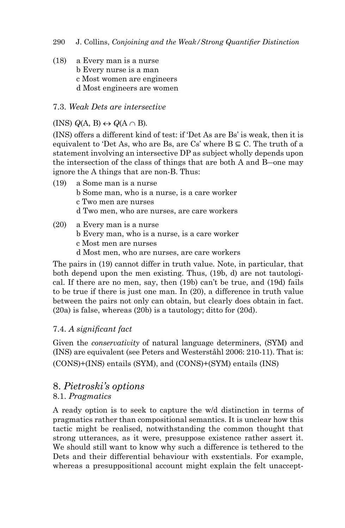- 290 J. Collins, *Conjoining and the Weak/Strong Quantifier Distinction*
- (18) a Every man is a nurse b Every nurse is a man c Most women are engineers d Most engineers are women

### 7.3. *Weak Dets are intersective*

### $(INS) Q(A, B) \leftrightarrow Q(A \cap B).$

(INS) offers a different kind of test: if 'Det As are Bs' is weak, then it is equivalent to 'Det As, who are Bs, are Cs' where  $B \subseteq C$ . The truth of a statement involving an intersective DP as subject wholly depends upon the intersection of the class of things that are both A and B―one may ignore the A things that are non-B. Thus:

- (19) a Some man is a nurse b Some man, who is a nurse, is a care worker c Two men are nurses d Two men, who are nurses, are care workers
- (20) a Every man is a nurse b Every man, who is a nurse, is a care worker c Most men are nurses d Most men, who are nurses, are care workers

The pairs in (19) cannot differ in truth value. Note, in particular, that both depend upon the men existing. Thus, (19b, d) are not tautological. If there are no men, say, then (19b) can't be true, and (19d) fails to be true if there is just one man. In (20), a difference in truth value between the pairs not only can obtain, but clearly does obtain in fact. (20a) is false, whereas (20b) is a tautology; ditto for (20d).

## 7.4. *A signifi cant fact*

Given the *conservativity* of natural language determiners, (SYM) and (INS) are equivalent (see Peters and Westerståhl 2006: 210-11). That is: (CONS)+(INS) entails (SYM), and (CONS)+(SYM) entails (INS)

# 8. *Pietroski's options*

#### 8.1. *Pragmatics*

A ready option is to seek to capture the w/d distinction in terms of pragmatics rather than compositional semantics. It is unclear how this tactic might be realised, notwithstanding the common thought that strong utterances, as it were, presuppose existence rather assert it. We should still want to know why such a difference is tethered to the Dets and their differential behaviour with exstentials. For example, whereas a presuppositional account might explain the felt unaccept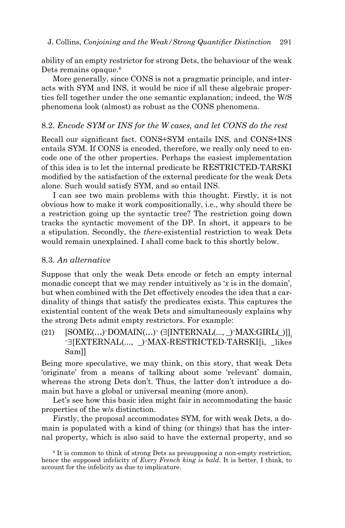ability of an empty restrictor for strong Dets, the behaviour of the weak Dets remains opaque.<sup>6</sup>

More generally, since CONS is not a pragmatic principle, and interacts with SYM and INS, it would be nice if all these algebraic properties fell together under the one semantic explanation; indeed, the W/S phenomena look (almost) as robust as the CONS phenomena.

#### 8.2. *Encode SYM or INS for the W cases, and let CONS do the rest*

Recall our significant fact. CONS+SYM entails INS, and CONS+INS entails SYM. If CONS is encoded, therefore, we really only need to encode one of the other properties. Perhaps the easiest implementation of this idea is to let the internal predicate be RESTRICTED-TARSKI modified by the satisfaction of the external predicate for the weak Dets alone. Such would satisfy SYM, and so entail INS.

I can see two main problems with this thought. Firstly, it is not obvious how to make it work compositionally, i.e., why should there be a restriction going up the syntactic tree? The restriction going down tracks the syntactic movement of the DP. In short, it appears to be a stipulation. Secondly, the *there*-existential restriction to weak Dets would remain unexplained. I shall come back to this shortly below.

#### 8.3. *An alternative*

Suppose that only the weak Dets encode or fetch an empty internal monadic concept that we may render intuitively as '*x* is in the domain', but when combined with the Det effectively encodes the idea that a cardinality of things that satisfy the predicates exists. This captures the existential content of the weak Dets and simultaneously explains why the strong Dets admit empty restrictors. For example:

(21)  $[SOME(...) \cdot DOMAIN(...) \cdot (J[INTERNAL(..., \_) \cdot MAX.GIRL[]_1]$ <br>  $\sim$  [EXTERNAL(...,  $\cdot$ ) $\cdot$ MAX-RESTRICTED-TARSKI[i, likes Sam]]

Being more speculative, we may think, on this story, that weak Dets 'originate' from a means of talking about some 'relevant' domain, whereas the strong Dets don't. Thus, the latter don't introduce a domain but have a global or universal meaning (more anon).

Let's see how this basic idea might fair in accommodating the basic properties of the w/s distinction.

Firstly, the proposal accommodates SYM, for with weak Dets, a domain is populated with a kind of thing (or things) that has the internal property, which is also said to have the external property, and so

<sup>&</sup>lt;sup>6</sup> It is common to think of strong Dets as presupposing a non-empty restriction, hence the supposed infelicity of *Every French king is bald*. It is better, I think, to account for the infelicity as due to implicature.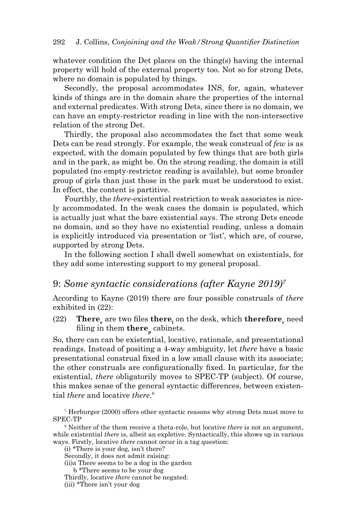whatever condition the Det places on the thing(s) having the internal property will hold of the external property too. Not so for strong Dets, where no domain is populated by things.

Secondly, the proposal accommodates INS, for, again, whatever kinds of things are in the domain share the properties of the internal and external predicates. With strong Dets, since there is no domain, we can have an empty-restrictor reading in line with the non-intersective relation of the strong Det.

Thirdly, the proposal also accommodates the fact that some weak Dets can be read strongly. For example, the weak construal of *few* is as expected, with the domain populated by few things that are both girls and in the park, as might be. On the strong reading, the domain is still populated (no empty-restrictor reading is available), but some broader group of girls than just those in the park must be understood to exist. In effect, the content is partitive.

Fourthly, the *there*-existential restriction to weak associates is nicely accommodated. In the weak cases the domain is populated, which is actually just what the bare existential says. The strong Dets encode no domain, and so they have no existential reading, unless a domain is explicitly introduced via presentation or 'list', which are, of course, supported by strong Dets.

In the following section I shall dwell somewhat on existentials, for they add some interesting support to my general proposal.

## 9: *Some syntactic considerations (after Kayne 2019)7*

According to Kayne (2019) there are four possible construals of *there* exhibited in (22):

(22) **There** are two files **there**<sub>1</sub> on the desk, which **therefore** need filing in them there<sub>n</sub> cabinets.

So, there can can be existential, locative, rationale, and presentational readings. Instead of positing a 4-way ambiguity, let *there* have a basic presentational construal fi xed in a low small clause with its associate; the other construals are configurationally fixed. In particular, for the existential, *there* obligatorily moves to SPEC-TP (subject). Of course, this makes sense of the general syntactic differences, between existential *there* and locative *there*. 8

7 Herburger (2000) offers other syntactic reasons why strong Dets must move to SPEC-TP

8 Neither of the them receive a theta-role, but locative *there* is not an argument, while existential *there* is, albeit an expletive. Syntactically, this shows up in various ways. Firstly, locative *there* cannot occur in a tag question:

(i) \*There is your dog, isn't there?

Secondly, it does not admit raising:

(ii)a There seems to be a dog in the garden

b \*There seems to be your dog

Thirdly, locative *there* cannot be negated:

(iii) \*There isn't your dog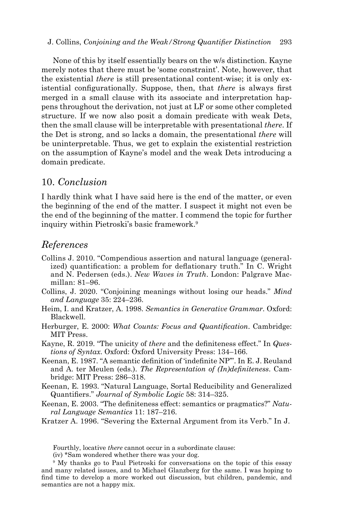#### J. Collins, *Conjoining and the Weak/Strong Quantifier Distinction* 293

None of this by itself essentially bears on the w/s distinction. Kayne merely notes that there must be 'some constraint'. Note, however, that the existential *there* is still presentational content-wise; it is only existential configurationally. Suppose, then, that *there* is always first merged in a small clause with its associate and interpretation happens throughout the derivation, not just at LF or some other completed structure. If we now also posit a domain predicate with weak Dets, then the small clause will be interpretable with presentational *there*. If the Det is strong, and so lacks a domain, the presentational *there* will be uninterpretable. Thus, we get to explain the existential restriction on the assumption of Kayne's model and the weak Dets introducing a domain predicate.

### 10. *Conclusion*

I hardly think what I have said here is the end of the matter, or even the beginning of the end of the matter. I suspect it might not even be the end of the beginning of the matter. I commend the topic for further inquiry within Pietroski's basic framework.9

#### *References*

- Collins J. 2010. "Compendious assertion and natural language (generalized) quantification: a problem for deflationary truth." In C. Wright and N. Pedersen (eds.). *New Waves in Truth*. London: Palgrave Macmillan: 81–96.
- Collins, J. 2020. "Conjoining meanings without losing our heads." *Mind and Language* 35: 224–236.
- Heim, I. and Kratzer, A. 1998. *Semantics in Generative Grammar*. Oxford: Blackwell.
- Herburger, E. 2000: *What Counts: Focus and Quantification*. Cambridge: MIT Press.
- Kayne, R. 2019. "The unicity of *there* and the definiteness effect." In *Questions of Syntax*. Oxford: Oxford University Press: 134–166.
- Keenan, E. 1987. "A semantic definition of 'indefinite NP'". In E. J. Reuland and A. ter Meulen (eds.). *The Representation of (In)definiteness*. Cambridge: MIT Press: 286–318.
- Keenan, E. 1993. "Natural Language, Sortal Reducibility and Generalized Quantifiers." *Journal of Symbolic Logic* 58: 314–325.
- Keenan, E. 2003. "The definiteness effect: semantics or pragmatics?" Natu*ral Language Semantics* 11: 187–216.
- Kratzer A. 1996. "Severing the External Argument from its Verb." In J.

Fourthly, locative *there* cannot occur in a subordinate clause:

(iv) \*Sam wondered whether there was your dog.

<sup>9</sup> My thanks go to Paul Pietroski for conversations on the topic of this essay and many related issues, and to Michael Glanzberg for the same. I was hoping to find time to develop a more worked out discussion, but children, pandemic, and semantics are not a happy mix.